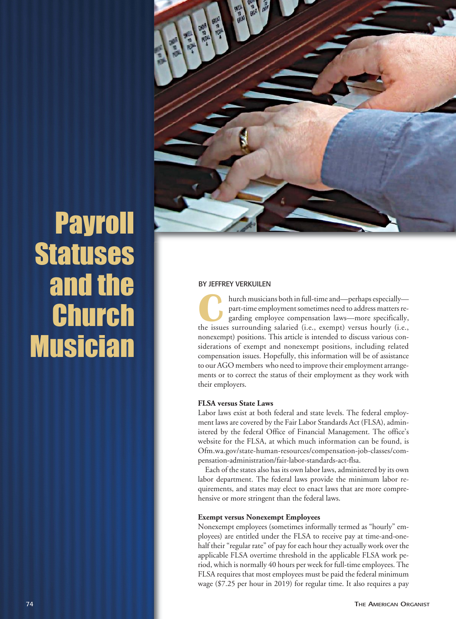

# Payroll **Statuses** and the Church **Musician**

### BY JEFFREY VERKUILEN

hurch musicians both in full-time and—perhaps especially part-time employment sometimes need to address matters regarding employee compensation laws—more specifically, hurch musicians both in full-time and—perhaps especially—<br>part-time employment sometimes need to address matters re-<br>garding employee compensation laws—more specifically,<br>the issues surrounding salaried (i.e., exempt) vers nonexempt) positions. This article is intended to discuss various considerations of exempt and nonexempt positions, including related compensation issues. Hopefully, this information will be of assistance to our AGO members who need to improve their employment arrangements or to correct the status of their employment as they work with their employers.

## **FLSA versus State Laws**

Labor laws exist at both federal and state levels. The federal employment laws are covered by the Fair Labor Standards Act (FLSA), administered by the federal Office of Financial Management. The office's website for the FLSA, at which much information can be found, is Ofm.wa.gov/state-human-resources/compensation-job-classes/compensation-administration/fair-labor-standards-act-flsa.

Each of the states also has its own labor laws, administered by its own labor department. The federal laws provide the minimum labor requirements, and states may elect to enact laws that are more comprehensive or more stringent than the federal laws.

#### **Exempt versus Nonexempt Employees**

Nonexempt employees (sometimes informally termed as "hourly" employees) are entitled under the FLSA to receive pay at time-and-onehalf their "regular rate" of pay for each hour they actually work over the applicable FLSA overtime threshold in the applicable FLSA work period, which is normally 40 hours per week for full-time employees. The FLSA requires that most employees must be paid the federal minimum wage (\$7.25 per hour in 2019) for regular time. It also requires a pay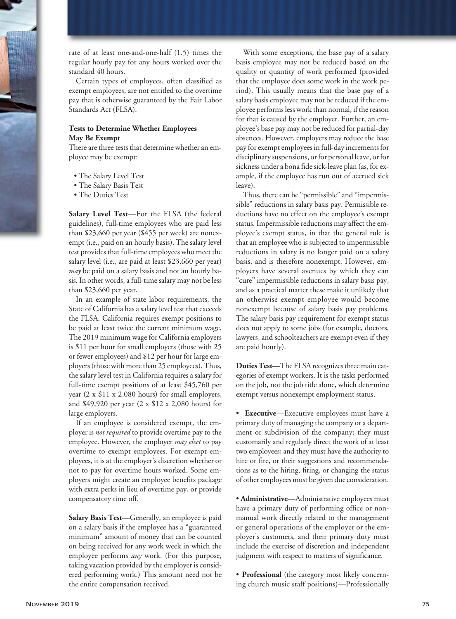rate of at least one-and-one-half (1.5) times the regular hourly pay for any hours worked over the standard 40 hours.

Certain types of employees, often classified as exempt employees, are not entitled to the overtime pay that is otherwise guaranteed by the Fair Labor Standards Act (FLSA).

# **Tests to Determine Whether Employees May Be Exempt**

There are three tests that determine whether an employee may be exempt:

- The Salary Level Test
- The Salary Basis Test
- The Duties Test

**Salary Level Test**—For the FLSA (the federal guidelines), full-time employees who are paid less than \$23,660 per year (\$455 per week) are nonexempt (i.e., paid on an hourly basis). The salary level test provides that full-time employees who meet the salary level (i.e., are paid at least \$23,660 per year) *may* be paid on a salary basis and not an hourly basis. In other words, a full-time salary may not be less than \$23,660 per year.

In an example of state labor requirements, the State of California has a salary level test that exceeds the FLSA. California requires exempt positions to be paid at least twice the current minimum wage. The 2019 minimum wage for California employers is \$11 per hour for small employers (those with 25 or fewer employees) and \$12 per hour for large employers (those with more than 25 employees). Thus, the salary level test in California requires a salary for full-time exempt positions of at least \$45,760 per year (2 x \$11 x 2,080 hours) for small employers, and \$49,920 per year (2 x \$12 x 2,080 hours) for large employers.

If an employee is considered exempt, the employer is *not required* to provide overtime pay to the employee. However, the employer *may elect* to pay overtime to exempt employees. For exempt employees, it is at the employer's discretion whether or not to pay for overtime hours worked. Some employers might create an employee benefits package with extra perks in lieu of overtime pay, or provide compensatory time off.

**Salary Basis Test**—Generally, an employee is paid on a salary basis if the employee has a "guaranteed minimum" amount of money that can be counted on being received for any work week in which the employee performs *any* work. (For this purpose, taking vacation provided by the employer is considered performing work.) This amount need not be the entire compensation received.

With some exceptions, the base pay of a salary basis employee may not be reduced based on the quality or quantity of work performed (provided that the employee does some work in the work period). This usually means that the base pay of a salary basis employee may not be reduced if the employee performs less work than normal, if the reason for that is caused by the employer. Further, an employee's base pay may not be reduced for partial-day absences. However, employers may reduce the base pay for exempt employees in full-day increments for disciplinary suspensions, or for personal leave, or for sickness under a bona fide sick-leave plan (as, for example, if the employee has run out of accrued sick leave).

Thus, there can be "permissible" and "impermissible" reductions in salary basis pay. Permissible reductions have no effect on the employee's exempt status. Impermissible reductions may affect the employee's exempt status, in that the general rule is that an employee who is subjected to impermissible reductions in salary is no longer paid on a salary basis, and is therefore nonexempt. However, employers have several avenues by which they can "cure" impermissible reductions in salary basis pay, and as a practical matter these make it unlikely that an otherwise exempt employee would become nonexempt because of salary basis pay problems. The salary basis pay requirement for exempt status does not apply to some jobs (for example, doctors, lawyers, and schoolteachers are exempt even if they are paid hourly).

**Duties Test—**The FLSA recognizes three main categories of exempt workers. It is the tasks performed on the job, not the job title alone, which determine exempt versus nonexempt employment status.

• **Executive**—Executive employees must have a primary duty of managing the company or a department or subdivision of the company; they must customarily and regularly direct the work of at least two employees; and they must have the authority to hire or fire, or their suggestions and recommendations as to the hiring, firing, or changing the status of other employees must be given due consideration.

• **Administrative**—Administrative employees must have a primary duty of performing office or nonmanual work directly related to the management or general operations of the employer or the employer's customers, and their primary duty must include the exercise of discretion and independent judgment with respect to matters of significance.

• **Professional** (the category most likely concerning church music staff positions)—Professionally